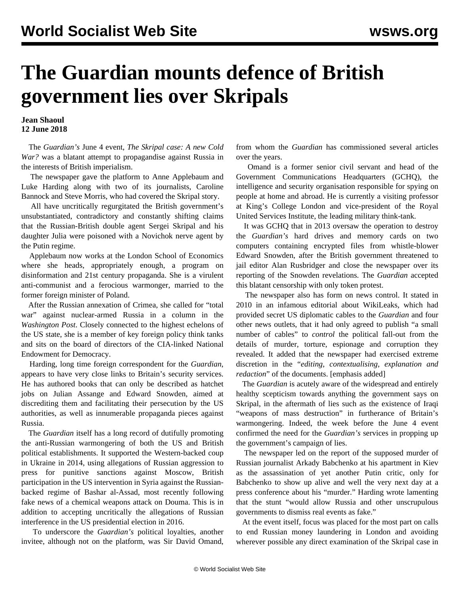## **The Guardian mounts defence of British government lies over Skripals**

## **Jean Shaoul 12 June 2018**

 The *Guardian's* June 4 event, *The Skripal case: A new Cold War?* was a blatant attempt to propagandise against Russia in the interests of British imperialism.

 The newspaper gave the platform to Anne Applebaum and Luke Harding along with two of its journalists, Caroline Bannock and Steve Morris, who had covered the Skripal story.

 All have uncritically regurgitated the British government's unsubstantiated, contradictory and constantly shifting claims that the Russian-British double agent Sergei Skripal and his daughter Julia were poisoned with a Novichok nerve agent by the Putin regime.

 Applebaum now works at the London School of Economics where she heads, appropriately enough, a program on disinformation and 21st century propaganda. She is a virulent anti-communist and a ferocious warmonger, married to the former foreign minister of Poland.

 After the Russian annexation of Crimea, she called for "total war" against nuclear-armed Russia in a column in the *Washington Post*. Closely connected to the highest echelons of the US state, she is a member of key foreign policy think tanks and sits on the board of directors of the CIA-linked National Endowment for Democracy.

 Harding, long time foreign correspondent for the *Guardian*, appears to have very close links to Britain's security services. He has authored books that can only be described as hatchet jobs on Julian Assange and Edward Snowden, aimed at discrediting them and facilitating their persecution by the US authorities, as well as innumerable propaganda pieces against Russia.

 The *Guardian* itself has a long record of dutifully promoting the anti-Russian warmongering of both the US and British political establishments. It supported the Western-backed coup in Ukraine in 2014, using allegations of Russian aggression to press for punitive sanctions against Moscow, British participation in the US intervention in Syria against the Russianbacked regime of Bashar al-Assad, most recently following fake news of a chemical weapons attack on Douma. This is in addition to accepting uncritically the allegations of Russian interference in the US presidential election in 2016.

 To underscore the *Guardian's* political loyalties, another invitee, although not on the platform, was Sir David Omand, from whom the *Guardian* has commissioned several articles over the years.

 Omand is a former senior civil servant and head of the Government Communications Headquarters (GCHQ), the intelligence and security organisation responsible for spying on people at home and abroad. He is currently a visiting professor at King's College London and vice-president of the Royal United Services Institute, the leading military think-tank.

 It was GCHQ that in 2013 oversaw the operation to destroy the *Guardian's* hard drives and memory cards on two computers containing encrypted files from whistle-blower Edward Snowden, after the British government threatened to jail editor Alan Rusbridger and close the newspaper over its reporting of the Snowden revelations. The *Guardian* accepted this blatant censorship with only token protest.

 The newspaper also has form on news control. It stated in 2010 in an infamous editorial about WikiLeaks, which had provided secret US diplomatic cables to the *Guardian* and four other news outlets, that it had only agreed to publish "a small number of cables" to *control* the political fall-out from the details of murder, torture, espionage and corruption they revealed. It added that the newspaper had exercised extreme discretion in the "*editing, contextualising, explanation and redaction*" of the documents. [emphasis added]

 The *Guardian* is acutely aware of the widespread and entirely healthy scepticism towards anything the government says on Skripal, in the aftermath of lies such as the existence of Iraqi "weapons of mass destruction" in furtherance of Britain's warmongering. Indeed, the week before the June 4 event confirmed the need for the *Guardian's* services in propping up the government's campaign of lies.

 The newspaper led on the report of the supposed murder of Russian journalist Arkady Babchenko at his apartment in Kiev as the assassination of yet another Putin critic, only for Babchenko to show up alive and well the very next day at a press conference about his "murder." Harding wrote lamenting that the stunt "would allow Russia and other unscrupulous governments to dismiss real events as fake."

 At the event itself, focus was placed for the most part on calls to end Russian money laundering in London and avoiding wherever possible any direct examination of the Skripal case in